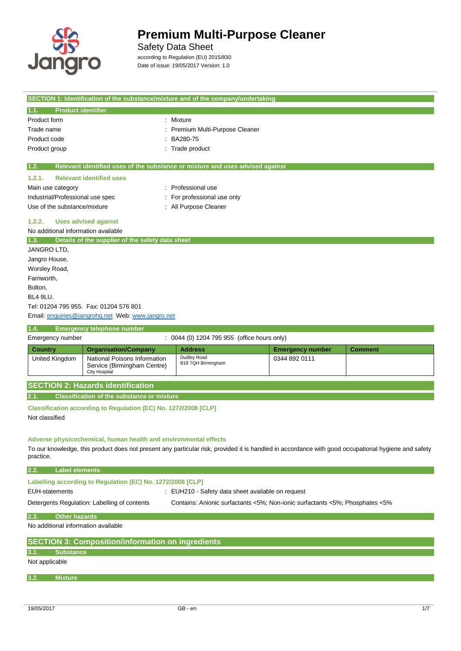

 $\overline{\phantom{a}}$ 

## **Premium Multi-Purpose Cleaner**

## Safety Data Sheet

according to Regulation (EU) 2015/830 Date of issue: 19/05/2017 Version: 1.0

|                                                                                                                                                  |                                                                                                            | SECTION 1: Identification of the substance/mixture and of the company/undertaking                                                                   |                         |                |
|--------------------------------------------------------------------------------------------------------------------------------------------------|------------------------------------------------------------------------------------------------------------|-----------------------------------------------------------------------------------------------------------------------------------------------------|-------------------------|----------------|
| <b>Product identifier</b><br>1.1.                                                                                                                |                                                                                                            |                                                                                                                                                     |                         |                |
| Product form<br>Trade name<br>Product code<br>Product group                                                                                      | ÷                                                                                                          | Mixture<br>Premium Multi-Purpose Cleaner<br>BA280-75<br>Trade product                                                                               |                         |                |
| 1.2.                                                                                                                                             |                                                                                                            | Relevant identified uses of the substance or mixture and uses advised against                                                                       |                         |                |
| 1.2.1.<br>Main use category<br>Industrial/Professional use spec<br>Use of the substance/mixture<br>1.2.2.<br>No additional information available | <b>Relevant identified uses</b><br><b>Uses advised against</b>                                             | Professional use<br>For professional use only<br>: All Purpose Cleaner                                                                              |                         |                |
| 1.3.                                                                                                                                             | Details of the supplier of the safety data sheet                                                           |                                                                                                                                                     |                         |                |
| JANGRO LTD,<br>Jangro House,<br>Worsley Road,<br>Farnworth.<br>Bolton,<br>BL4 9LU.                                                               | Tel: 01204 795 955. Fax: 01204 576 801<br>Email: enquiries@jangrohq.net Web: www.jangro.net                |                                                                                                                                                     |                         |                |
| 1.4.                                                                                                                                             | <b>Emergency telephone number</b>                                                                          |                                                                                                                                                     |                         |                |
| Emergency number                                                                                                                                 |                                                                                                            | : 0044 (0) 1204 795 955 (office hours only)                                                                                                         |                         |                |
| <b>Country</b>                                                                                                                                   | <b>Organisation/Company</b>                                                                                | <b>Address</b>                                                                                                                                      | <b>Emergency number</b> | <b>Comment</b> |
| <b>United Kingdom</b>                                                                                                                            | National Poisons Information<br>Service (Birmingham Centre)<br><b>City Hospital</b>                        | Dudley Road<br>B18 7QH Birmingham                                                                                                                   | 0344 892 0111           |                |
|                                                                                                                                                  | <b>SECTION 2: Hazards identification</b>                                                                   |                                                                                                                                                     |                         |                |
| 2.1.                                                                                                                                             | <b>Classification of the substance or mixture</b>                                                          |                                                                                                                                                     |                         |                |
| Not classified                                                                                                                                   | Classification according to Regulation (EC) No. 1272/2008 [CLP]                                            |                                                                                                                                                     |                         |                |
| practice.                                                                                                                                        | Adverse physicochemical, human health and environmental effects                                            | To our knowledge, this product does not present any particular risk, provided it is handled in accordance with good occupational hygiene and safety |                         |                |
| <b>Label elements</b><br>2.2.                                                                                                                    |                                                                                                            |                                                                                                                                                     |                         |                |
| <b>EUH-statements</b>                                                                                                                            | Labelling according to Regulation (EC) No. 1272/2008 [CLP]<br>Detergents Regulation: Labelling of contents | : EUH210 - Safety data sheet available on request<br>Contains: Anionic surfactants <5%; Non-ionic surfactants <5%; Phosphates <5%                   |                         |                |
| <b>Other hazards</b>                                                                                                                             |                                                                                                            |                                                                                                                                                     |                         |                |
| 2.3.                                                                                                                                             |                                                                                                            |                                                                                                                                                     |                         |                |
| No additional information available                                                                                                              |                                                                                                            |                                                                                                                                                     |                         |                |
|                                                                                                                                                  | <b>SECTION 3: Composition/information on ingredients</b>                                                   |                                                                                                                                                     |                         |                |
| <b>Substance</b><br>3.1.<br>Not applicable                                                                                                       |                                                                                                            |                                                                                                                                                     |                         |                |

**3.2. Mixture**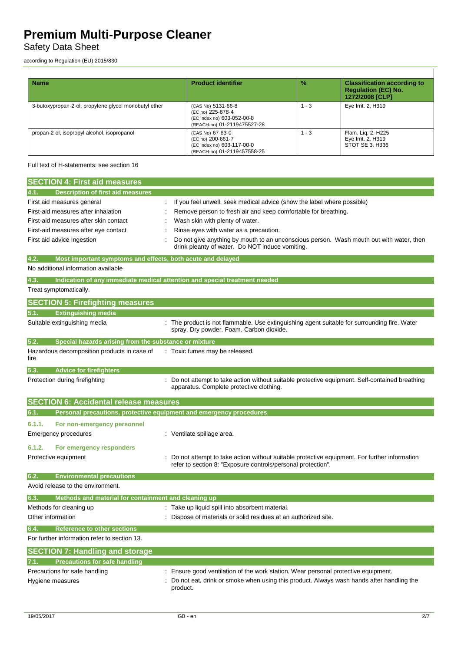## Safety Data Sheet

according to Regulation (EU) 2015/830

| <b>Name</b>                                           | <b>Product identifier</b>                                                                            | $\frac{9}{6}$ | <b>Classification according to</b><br><b>Regulation (EC) No.</b><br>1272/2008 [CLP] |
|-------------------------------------------------------|------------------------------------------------------------------------------------------------------|---------------|-------------------------------------------------------------------------------------|
| 3-butoxypropan-2-ol, propylene glycol monobutyl ether | (CAS No) 5131-66-8<br>(EC no) 225-878-4<br>(EC index no) 603-052-00-8<br>(REACH-no) 01-2119475527-28 | $-3$          | Eye Irrit. 2, H319                                                                  |
| propan-2-ol, isopropyl alcohol, isopropanol           | (CAS No) 67-63-0<br>(EC no) 200-661-7<br>(EC index no) 603-117-00-0<br>(REACH-no) 01-2119457558-25   | $1 - 3$       | Flam. Lig. 2, H225<br>Eye Irrit. 2, H319<br>STOT SE 3, H336                         |

Full text of H-statements: see section 16

| <b>SECTION 4: First aid measures</b>                                        |                                                                                                                                                              |
|-----------------------------------------------------------------------------|--------------------------------------------------------------------------------------------------------------------------------------------------------------|
|                                                                             |                                                                                                                                                              |
| <b>Description of first aid measures</b><br>4.1.                            |                                                                                                                                                              |
| First aid measures general                                                  | If you feel unwell, seek medical advice (show the label where possible)                                                                                      |
| First-aid measures after inhalation                                         | Remove person to fresh air and keep comfortable for breathing.                                                                                               |
| First-aid measures after skin contact                                       | Wash skin with plenty of water.                                                                                                                              |
| First-aid measures after eye contact                                        | Rinse eyes with water as a precaution.                                                                                                                       |
| First aid advice Ingestion                                                  | Do not give anything by mouth to an unconscious person. Wash mouth out with water, then<br>drink pleanty of water. Do NOT induce vomiting.                   |
| 4.2.<br>Most important symptoms and effects, both acute and delayed         |                                                                                                                                                              |
| No additional information available                                         |                                                                                                                                                              |
| 4.3.                                                                        | Indication of any immediate medical attention and special treatment needed                                                                                   |
| Treat symptomatically.                                                      |                                                                                                                                                              |
| <b>SECTION 5: Firefighting measures</b>                                     |                                                                                                                                                              |
| <b>Extinguishing media</b><br>5.1.                                          |                                                                                                                                                              |
| Suitable extinguishing media                                                | : The product is not flammable. Use extinguishing agent suitable for surrounding fire. Water<br>spray. Dry powder. Foam. Carbon dioxide.                     |
| 5.2.<br>Special hazards arising from the substance or mixture               |                                                                                                                                                              |
| Hazardous decomposition products in case of<br>fire                         | : Toxic fumes may be released.                                                                                                                               |
| 5.3.<br><b>Advice for firefighters</b>                                      |                                                                                                                                                              |
| Protection during firefighting                                              | Do not attempt to take action without suitable protective equipment. Self-contained breathing<br>apparatus. Complete protective clothing.                    |
| <b>SECTION 6: Accidental release measures</b>                               |                                                                                                                                                              |
| Personal precautions, protective equipment and emergency procedures<br>6.1. |                                                                                                                                                              |
| 6.1.1.<br>For non-emergency personnel                                       |                                                                                                                                                              |
| Emergency procedures                                                        | : Ventilate spillage area.                                                                                                                                   |
|                                                                             |                                                                                                                                                              |
| 6.1.2.<br>For emergency responders                                          |                                                                                                                                                              |
| Protective equipment                                                        | Do not attempt to take action without suitable protective equipment. For further information<br>refer to section 8: "Exposure controls/personal protection". |
| 6.2.<br><b>Environmental precautions</b>                                    |                                                                                                                                                              |
| Avoid release to the environment.                                           |                                                                                                                                                              |
| Methods and material for containment and cleaning up<br>6.3.                |                                                                                                                                                              |
| Methods for cleaning up                                                     | : Take up liquid spill into absorbent material.                                                                                                              |
| Other information                                                           | : Dispose of materials or solid residues at an authorized site.                                                                                              |
| 6.4.<br><b>Reference to other sections</b>                                  |                                                                                                                                                              |
| For further information refer to section 13.                                |                                                                                                                                                              |
| <b>SECTION 7: Handling and storage</b>                                      |                                                                                                                                                              |
| <b>Precautions for safe handling</b><br>7.1.                                |                                                                                                                                                              |
| Precautions for safe handling                                               | : Ensure good ventilation of the work station. Wear personal protective equipment.                                                                           |
| Hygiene measures                                                            | Do not eat, drink or smoke when using this product. Always wash hands after handling the<br>product.                                                         |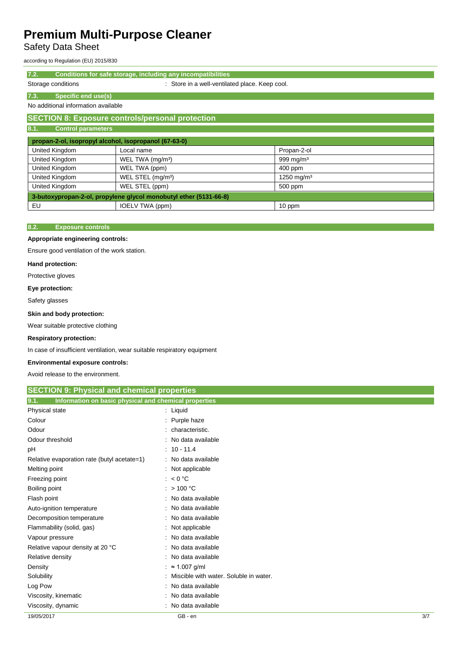Safety Data Sheet

according to Regulation (EU) 2015/830

**7.2. Conditions for safe storage, including any incompatibilities**

Storage conditions **Storage conditions** : Store in a well-ventilated place. Keep cool.

## **7.3. Specific end use(s)** No additional information available

## **SECTION 8: Exposure controls/personal protection**

| <b>Control parameters</b><br>8.1.                                 |                               |                        |
|-------------------------------------------------------------------|-------------------------------|------------------------|
| propan-2-ol, isopropyl alcohol, isopropanol (67-63-0)             |                               |                        |
| United Kingdom                                                    | Local name                    | Propan-2-ol            |
| United Kingdom                                                    | WEL TWA (mg/m <sup>3</sup> )  | 999 mg/m $3$           |
| <b>United Kingdom</b>                                             | WEL TWA (ppm)                 | $400$ ppm              |
| <b>United Kingdom</b>                                             | WEL STEL (mg/m <sup>3</sup> ) | 1250 mg/m <sup>3</sup> |
| United Kingdom                                                    | WEL STEL (ppm)                | 500 ppm                |
| 3-butoxypropan-2-ol, propylene glycol monobutyl ether (5131-66-8) |                               |                        |
| EU                                                                | IOELV TWA (ppm)               | 10 ppm                 |

## **8.2. Exposure controls**

### **Appropriate engineering controls:**

Ensure good ventilation of the work station.

#### **Hand protection:**

Protective gloves

### **Eye protection:**

Safety glasses

### **Skin and body protection:**

Wear suitable protective clothing

#### **Respiratory protection:**

In case of insufficient ventilation, wear suitable respiratory equipment

### **Environmental exposure controls:**

Avoid release to the environment.

| <b>SECTION 9: Physical and chemical properties</b><br>Information on basic physical and chemical properties<br>9.1. |                                        |     |
|---------------------------------------------------------------------------------------------------------------------|----------------------------------------|-----|
|                                                                                                                     |                                        |     |
| Colour                                                                                                              | Purple haze                            |     |
| Odour                                                                                                               | characteristic.                        |     |
| Odour threshold                                                                                                     | No data available                      |     |
| рH                                                                                                                  | $: 10 - 11.4$                          |     |
| Relative evaporation rate (butyl acetate=1)                                                                         | : No data available                    |     |
| Melting point                                                                                                       | : Not applicable                       |     |
| Freezing point                                                                                                      | : $< 0$ °C                             |     |
| Boiling point                                                                                                       | $:$ > 100 °C                           |     |
| Flash point                                                                                                         | No data available                      |     |
| Auto-ignition temperature                                                                                           | No data available                      |     |
| Decomposition temperature                                                                                           | No data available                      |     |
| Flammability (solid, gas)                                                                                           | Not applicable                         |     |
| Vapour pressure                                                                                                     | No data available                      |     |
| Relative vapour density at 20 °C                                                                                    | No data available                      |     |
| Relative density                                                                                                    | No data available                      |     |
| Density                                                                                                             | $\approx$ 1.007 g/ml                   |     |
| Solubility                                                                                                          | Miscible with water. Soluble in water. |     |
| Log Pow                                                                                                             | No data available                      |     |
| Viscosity, kinematic                                                                                                | No data available                      |     |
| Viscosity, dynamic                                                                                                  | No data available                      |     |
| 19/05/2017                                                                                                          | GB - en                                | 3/7 |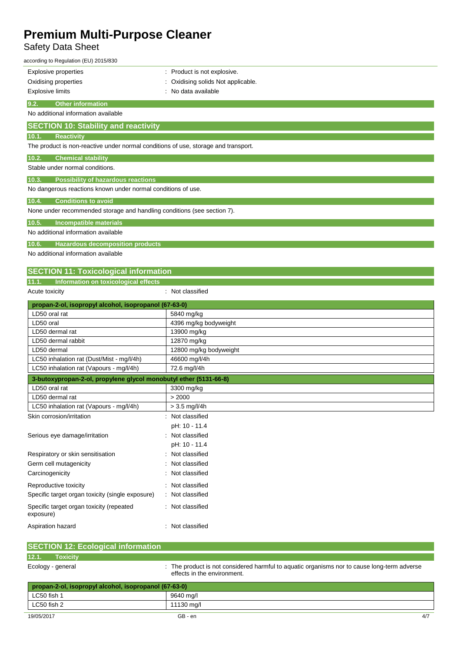## Safety Data Sheet

| according to Regulation (EU) 2015/830                                              |                                  |
|------------------------------------------------------------------------------------|----------------------------------|
| <b>Explosive properties</b>                                                        | : Product is not explosive.      |
| Oxidising properties                                                               | Oxidising solids Not applicable. |
| <b>Explosive limits</b>                                                            | No data available                |
| <b>Other information</b><br>9.2.                                                   |                                  |
| No additional information available                                                |                                  |
| <b>SECTION 10: Stability and reactivity</b>                                        |                                  |
| 10.1.<br><b>Reactivity</b>                                                         |                                  |
| The product is non-reactive under normal conditions of use, storage and transport. |                                  |
| <b>Chemical stability</b><br>10.2.                                                 |                                  |
| Stable under normal conditions.                                                    |                                  |
| 10.3.<br><b>Possibility of hazardous reactions</b>                                 |                                  |
| No dangerous reactions known under normal conditions of use.                       |                                  |
| 10.4.<br><b>Conditions to avoid</b>                                                |                                  |
| None under recommended storage and handling conditions (see section 7).            |                                  |
| <b>Incompatible materials</b><br>10.5.                                             |                                  |
| No additional information available                                                |                                  |
| 10.6.<br><b>Hazardous decomposition products</b>                                   |                                  |
| No additional information available                                                |                                  |
|                                                                                    |                                  |
| <b>SECTION 11: Toxicological information</b>                                       |                                  |
| Information on toxicological effects<br>11.1.<br>Acute toxicity                    | : Not classified                 |
| propan-2-ol, isopropyl alcohol, isopropanol (67-63-0)                              |                                  |
| LD50 oral rat                                                                      | 5840 mg/kg                       |
| LD50 oral                                                                          | 4396 mg/kg bodyweight            |
| LD50 dermal rat                                                                    | 13900 mg/kg                      |
| LD50 dermal rabbit                                                                 | 12870 mg/kg                      |
| LD50 dermal                                                                        | 12800 mg/kg bodyweight           |
| LC50 inhalation rat (Dust/Mist - mg/l/4h)                                          | 46600 mg/l/4h                    |
| LC50 inhalation rat (Vapours - mg/l/4h)                                            | 72.6 mg/l/4h                     |
| 3-butoxypropan-2-ol, propylene glycol monobutyl ether (5131-66-8)                  |                                  |
| LD50 oral rat                                                                      | 3300 mg/kg                       |
| LD50 dermal rat                                                                    | > 2000                           |
| LC50 inhalation rat (Vapours - mg/l/4h)                                            |                                  |
|                                                                                    | $> 3.5$ mg/l/4h                  |
| Skin corrosion/irritation                                                          | Not classified                   |
|                                                                                    | pH: 10 - 11.4                    |
| Serious eye damage/irritation                                                      | Not classified                   |
|                                                                                    | pH: 10 - 11.4                    |
| Respiratory or skin sensitisation                                                  | Not classified                   |
| Germ cell mutagenicity                                                             | Not classified                   |
| Carcinogenicity                                                                    | Not classified                   |
| Reproductive toxicity                                                              | Not classified                   |

| Specific target organ toxicity (single exposure)      | : Not classified |
|-------------------------------------------------------|------------------|
| Specific target organ toxicity (repeated<br>exposure) | : Not classified |
| Aspiration hazard                                     | : Not classified |

|       | <b>SECTION 12: Ecological information</b>             |                                                                                                                            |
|-------|-------------------------------------------------------|----------------------------------------------------------------------------------------------------------------------------|
| 12.1. | <b>Toxicity</b>                                       |                                                                                                                            |
|       | Ecology - general                                     | : The product is not considered harmful to aquatic organisms nor to cause long-term adverse<br>effects in the environment. |
|       | propan-2-ol, isopropyl alcohol, isopropanol (67-63-0) |                                                                                                                            |
| .     |                                                       | ----                                                                                                                       |

| LC50 fish 1 | 9640 ma/l  |     |
|-------------|------------|-----|
| LC50 fish 2 | 11130 mg/l |     |
| 19/05/2017  | GB - en    | 4/7 |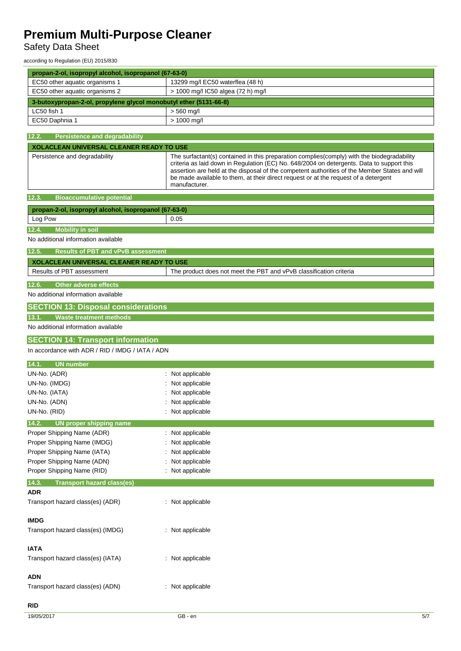## Safety Data Sheet

according to Regulation (EU) 2015/830

| propan-2-ol, isopropyl alcohol, isopropanol (67-63-0)             |                                                                                                                                                                                                                                                                                                                                                                                                  |
|-------------------------------------------------------------------|--------------------------------------------------------------------------------------------------------------------------------------------------------------------------------------------------------------------------------------------------------------------------------------------------------------------------------------------------------------------------------------------------|
| EC50 other aquatic organisms 1                                    | 13299 mg/l EC50 waterflea (48 h)                                                                                                                                                                                                                                                                                                                                                                 |
| EC50 other aquatic organisms 2                                    | > 1000 mg/l IC50 algea (72 h) mg/l                                                                                                                                                                                                                                                                                                                                                               |
| 3-butoxypropan-2-ol, propylene glycol monobutyl ether (5131-66-8) |                                                                                                                                                                                                                                                                                                                                                                                                  |
| LC50 fish 1                                                       | $> 560$ mg/l                                                                                                                                                                                                                                                                                                                                                                                     |
| EC50 Daphnia 1                                                    | > 1000 mg/l                                                                                                                                                                                                                                                                                                                                                                                      |
|                                                                   |                                                                                                                                                                                                                                                                                                                                                                                                  |
| 12.2.<br><b>Persistence and degradability</b>                     |                                                                                                                                                                                                                                                                                                                                                                                                  |
| <b>XOLACLEAN UNIVERSAL CLEANER READY TO USE</b>                   |                                                                                                                                                                                                                                                                                                                                                                                                  |
| Persistence and degradability                                     | The surfactant(s) contained in this preparation complies(comply) with the biodegradability<br>criteria as laid down in Regulation (EC) No. 648/2004 on detergents. Data to support this<br>assertion are held at the disposal of the competent authorities of the Member States and will<br>be made available to them, at their direct request or at the request of a detergent<br>manufacturer. |
| <b>Bioaccumulative potential</b><br>12.3.                         |                                                                                                                                                                                                                                                                                                                                                                                                  |
| propan-2-ol, isopropyl alcohol, isopropanol (67-63-0)             |                                                                                                                                                                                                                                                                                                                                                                                                  |
| Log Pow                                                           | 0.05                                                                                                                                                                                                                                                                                                                                                                                             |
| <b>Mobility in soil</b><br>12.4.                                  |                                                                                                                                                                                                                                                                                                                                                                                                  |
| No additional information available                               |                                                                                                                                                                                                                                                                                                                                                                                                  |
|                                                                   |                                                                                                                                                                                                                                                                                                                                                                                                  |
| $\overline{12.5}$ .<br><b>Results of PBT and vPvB assessment</b>  |                                                                                                                                                                                                                                                                                                                                                                                                  |
| <b>XOLACLEAN UNIVERSAL CLEANER READY TO USE</b>                   |                                                                                                                                                                                                                                                                                                                                                                                                  |
| Results of PBT assessment                                         | The product does not meet the PBT and vPvB classification criteria                                                                                                                                                                                                                                                                                                                               |
| 12.6.<br><b>Other adverse effects</b>                             |                                                                                                                                                                                                                                                                                                                                                                                                  |
| No additional information available                               |                                                                                                                                                                                                                                                                                                                                                                                                  |
| <b>SECTION 13: Disposal considerations</b>                        |                                                                                                                                                                                                                                                                                                                                                                                                  |
| <b>Waste treatment methods</b><br>13.1.                           |                                                                                                                                                                                                                                                                                                                                                                                                  |
| No additional information available                               |                                                                                                                                                                                                                                                                                                                                                                                                  |
| <b>SECTION 14: Transport information</b>                          |                                                                                                                                                                                                                                                                                                                                                                                                  |
| In accordance with ADR / RID / IMDG / IATA / ADN                  |                                                                                                                                                                                                                                                                                                                                                                                                  |
|                                                                   |                                                                                                                                                                                                                                                                                                                                                                                                  |
| <b>UN number</b><br>14.1.                                         |                                                                                                                                                                                                                                                                                                                                                                                                  |
| UN-No. (ADR)                                                      | : Not applicable                                                                                                                                                                                                                                                                                                                                                                                 |
| UN-No. (IMDG)                                                     | Not applicable                                                                                                                                                                                                                                                                                                                                                                                   |
| UN-No. (IATA)<br>UN-No. (ADN)                                     | Not applicable                                                                                                                                                                                                                                                                                                                                                                                   |
| UN-No. (RID)                                                      | Not applicable<br>Not applicable                                                                                                                                                                                                                                                                                                                                                                 |
|                                                                   |                                                                                                                                                                                                                                                                                                                                                                                                  |
| <b>UN proper shipping name</b><br>14.2.                           |                                                                                                                                                                                                                                                                                                                                                                                                  |
| Proper Shipping Name (ADR)                                        | : Not applicable                                                                                                                                                                                                                                                                                                                                                                                 |
| Proper Shipping Name (IMDG)                                       | Not applicable                                                                                                                                                                                                                                                                                                                                                                                   |
| Proper Shipping Name (IATA)<br>Proper Shipping Name (ADN)         | Not applicable<br>: Not applicable                                                                                                                                                                                                                                                                                                                                                               |
| Proper Shipping Name (RID)                                        | : Not applicable                                                                                                                                                                                                                                                                                                                                                                                 |
|                                                                   |                                                                                                                                                                                                                                                                                                                                                                                                  |
| <b>Transport hazard class(es)</b><br>14.3.<br><b>ADR</b>          |                                                                                                                                                                                                                                                                                                                                                                                                  |
|                                                                   |                                                                                                                                                                                                                                                                                                                                                                                                  |
| Transport hazard class(es) (ADR)                                  | : Not applicable                                                                                                                                                                                                                                                                                                                                                                                 |
| <b>IMDG</b>                                                       |                                                                                                                                                                                                                                                                                                                                                                                                  |
| Transport hazard class(es) (IMDG)                                 | : Not applicable                                                                                                                                                                                                                                                                                                                                                                                 |
|                                                                   |                                                                                                                                                                                                                                                                                                                                                                                                  |
| <b>IATA</b>                                                       |                                                                                                                                                                                                                                                                                                                                                                                                  |
| Transport hazard class(es) (IATA)                                 | : Not applicable                                                                                                                                                                                                                                                                                                                                                                                 |
|                                                                   |                                                                                                                                                                                                                                                                                                                                                                                                  |
| <b>ADN</b>                                                        |                                                                                                                                                                                                                                                                                                                                                                                                  |
| Transport hazard class(es) (ADN)                                  | : Not applicable                                                                                                                                                                                                                                                                                                                                                                                 |
|                                                                   |                                                                                                                                                                                                                                                                                                                                                                                                  |
| <b>RID</b>                                                        |                                                                                                                                                                                                                                                                                                                                                                                                  |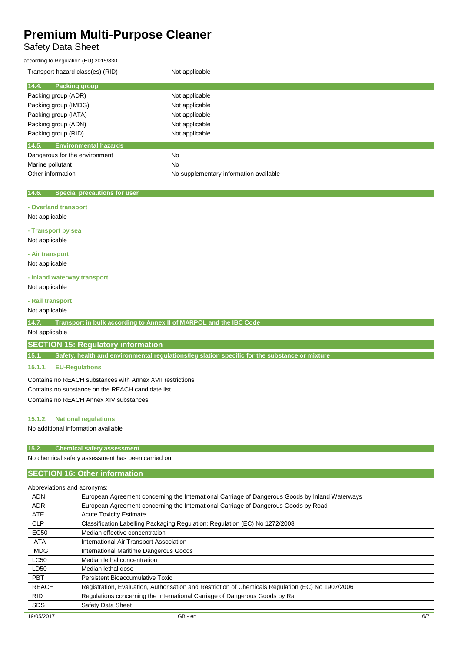## Safety Data Sheet

| according to Regulation (EU) 2015/830        |                                          |
|----------------------------------------------|------------------------------------------|
| Transport hazard class(es) (RID)             | : Not applicable                         |
| 14.4.<br><b>Packing group</b>                |                                          |
| Packing group (ADR)                          | : Not applicable                         |
| Packing group (IMDG)                         | : Not applicable                         |
| Packing group (IATA)                         | : Not applicable                         |
| Packing group (ADN)                          | : Not applicable                         |
| Packing group (RID)                          | : Not applicable                         |
| <b>Environmental hazards</b><br>14.5.        |                                          |
| Dangerous for the environment                | $\therefore$ No                          |
| Marine pollutant                             | $\therefore$ No                          |
| Other information                            | : No supplementary information available |
|                                              |                                          |
| 14.6.<br><b>Special precautions for user</b> |                                          |
| - Overland transport                         |                                          |
| Not applicable                               |                                          |
| - Transport by sea                           |                                          |
| Not applicable                               |                                          |

**- Air transport**

Not applicable

#### **- Inland waterway transport**

Not applicable

## **- Rail transport**

Not applicable

**14.7. Transport in bulk according to Annex II of MARPOL and the IBC Code**

Not applicable

**SECTION 15: Regulatory information**

**15.1. Safety, health and environmental regulations/legislation specific for the substance or mixture**

### **15.1.1. EU-Regulations**

Contains no REACH substances with Annex XVII restrictions Contains no substance on the REACH candidate list Contains no REACH Annex XIV substances

### **15.1.2. National regulations**

No additional information available

## **15.2. Chemical safety assessment**

No chemical safety assessment has been carried out

## **SECTION 16: Other information**

| Abbreviations and acronyms: |                                                                                                   |
|-----------------------------|---------------------------------------------------------------------------------------------------|
| <b>ADN</b>                  | European Agreement concerning the International Carriage of Dangerous Goods by Inland Waterways   |
| <b>ADR</b>                  | European Agreement concerning the International Carriage of Dangerous Goods by Road               |
| <b>ATE</b>                  | <b>Acute Toxicity Estimate</b>                                                                    |
| <b>CLP</b>                  | Classification Labelling Packaging Regulation; Regulation (EC) No 1272/2008                       |
| <b>EC50</b>                 | Median effective concentration                                                                    |
| <b>IATA</b>                 | International Air Transport Association                                                           |
| <b>IMDG</b>                 | International Maritime Dangerous Goods                                                            |
| <b>LC50</b>                 | Median lethal concentration                                                                       |
| LD50                        | Median lethal dose                                                                                |
| <b>PBT</b>                  | Persistent Bioaccumulative Toxic                                                                  |
| <b>REACH</b>                | Registration, Evaluation, Authorisation and Restriction of Chemicals Regulation (EC) No 1907/2006 |
| <b>RID</b>                  | Regulations concerning the International Carriage of Dangerous Goods by Rai                       |
| <b>SDS</b>                  | Safety Data Sheet                                                                                 |